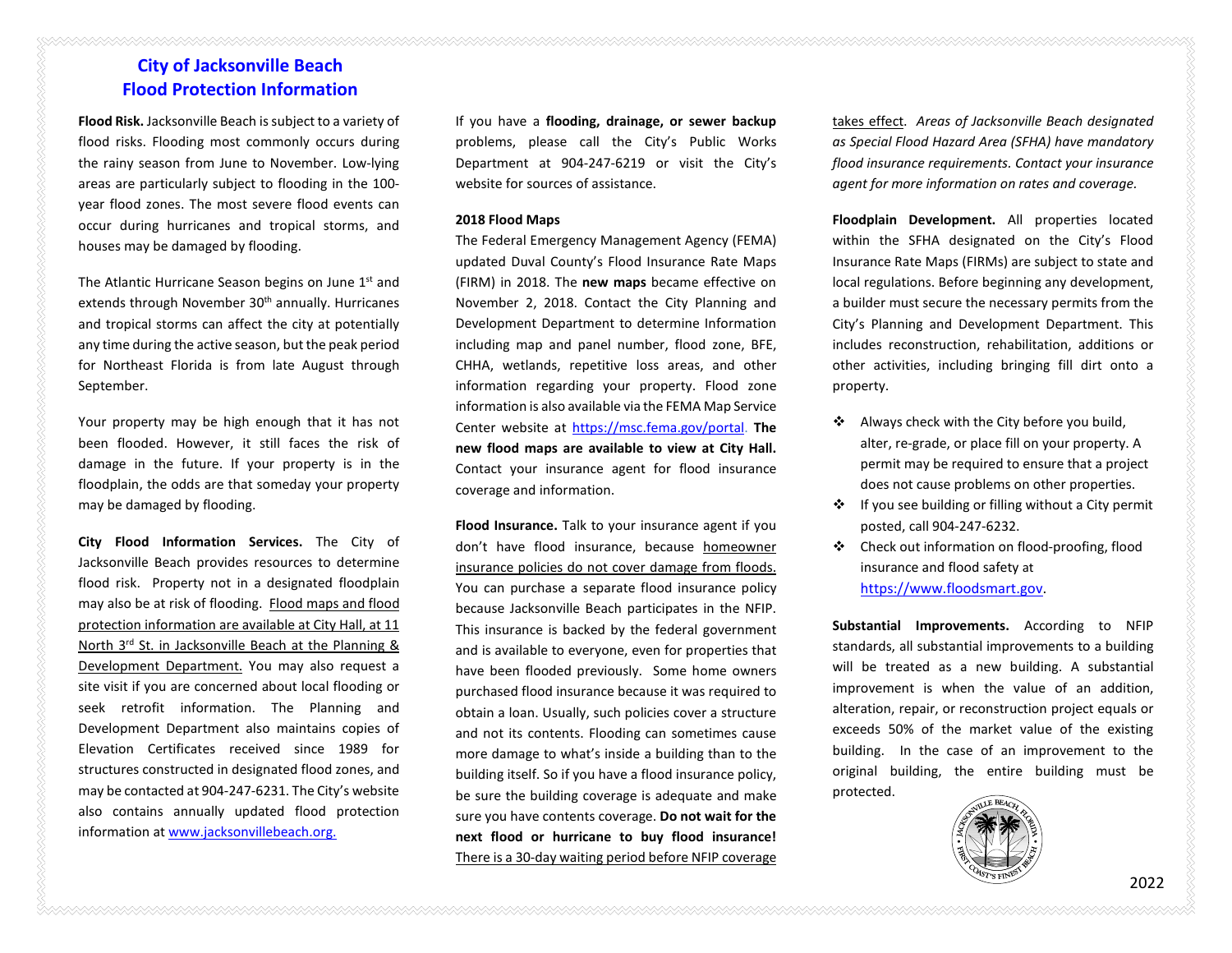# **City of Jacksonville Beach Flood Protection Information**

**Flood Risk.** Jacksonville Beach is subject to a variety of flood risks. Flooding most commonly occurs during the rainy season from June to November. Low-lying areas are particularly subject to flooding in the 100 year flood zones. The most severe flood events can occur during hurricanes and tropical storms, and houses may be damaged by flooding.

The Atlantic Hurricane Season begins on June  $1<sup>st</sup>$  and extends through November 30<sup>th</sup> annually. Hurricanes and tropical storms can affect the city at potentially any time during the active season, but the peak period for Northeast Florida is from late August through September.

Your property may be high enough that it has not been flooded. However, it still faces the risk of damage in the future. If your property is in the floodplain, the odds are that someday your property may be damaged by flooding.

**City Flood Information Services.** The City of Jacksonville Beach provides resources to determine flood risk. Property not in a designated floodplain may also be at risk of flooding. Flood maps and flood protection information are available at City Hall, at 11 North 3rd St. in Jacksonville Beach at the Planning & Development Department. You may also request a site visit if you are concerned about local flooding or seek retrofit information. The Planning and Development Department also maintains copies of Elevation Certificates received since 1989 for structures constructed in designated flood zones, and may be contacted at 904-247-6231. The City's website also contains annually updated flood protection information at [www.jacksonvillebeach.org.](http://www.jacksonvillebeach.org/)

If you have a **flooding, drainage, or sewer backup** problems, please call the City's Public Works Department at 904-247-6219 or visit the City's website for sources of assistance.

### **2018 Flood Maps**

The Federal Emergency Management Agency (FEMA) updated Duval County's Flood Insurance Rate Maps (FIRM) in 2018. The **new maps** became effective on November 2, 2018. Contact the City Planning and Development Department to determine Information including map and panel number, flood zone, BFE, CHHA, wetlands, repetitive loss areas, and other information regarding your property. Flood zone information is also available via the FEMA Map Service Center website at [https://msc.fema.gov/portal.](https://msc.fema.gov/portal) **The new flood maps are available to view at City Hall.** Contact your insurance agent for flood insurance coverage and information.

**Flood Insurance.** Talk to your insurance agent if you don't have flood insurance, because homeowner insurance policies do not cover damage from floods. You can purchase a separate flood insurance policy because Jacksonville Beach participates in the NFIP. This insurance is backed by the federal government and is available to everyone, even for properties that have been flooded previously. Some home owners purchased flood insurance because it was required to obtain a loan. Usually, such policies cover a structure and not its contents. Flooding can sometimes cause more damage to what's inside a building than to the building itself. So if you have a flood insurance policy, be sure the building coverage is adequate and make sure you have contents coverage. **Do not wait for the next flood or hurricane to buy flood insurance!**  There is a 30-day waiting period before NFIP coverage

takes effect. *Areas of Jacksonville Beach designated as Special Flood Hazard Area (SFHA) have mandatory flood insurance requirements. Contact your insurance agent for more information on rates and coverage.*

**Floodplain Development.** All properties located within the SFHA designated on the City's Flood Insurance Rate Maps (FIRMs) are subject to state and local regulations. Before beginning any development, a builder must secure the necessary permits from the City's Planning and Development Department. This includes reconstruction, rehabilitation, additions or other activities, including bringing fill dirt onto a property.

- \* Always check with the City before you build, alter, re-grade, or place fill on your property. A permit may be required to ensure that a project does not cause problems on other properties.
- $\cdot \cdot$  If you see building or filling without a City permit posted, call 904-247-6232.
- Check out information on flood-proofing, flood insurance and flood safety at [https://www.floodsmart.gov.](https://www.floodsmart.gov/)

**Substantial Improvements.** According to NFIP standards, all substantial improvements to a building will be treated as a new building. A substantial improvement is when the value of an addition, alteration, repair, or reconstruction project equals or exceeds 50% of the market value of the existing building. In the case of an improvement to the original building, the entire building must be protected.